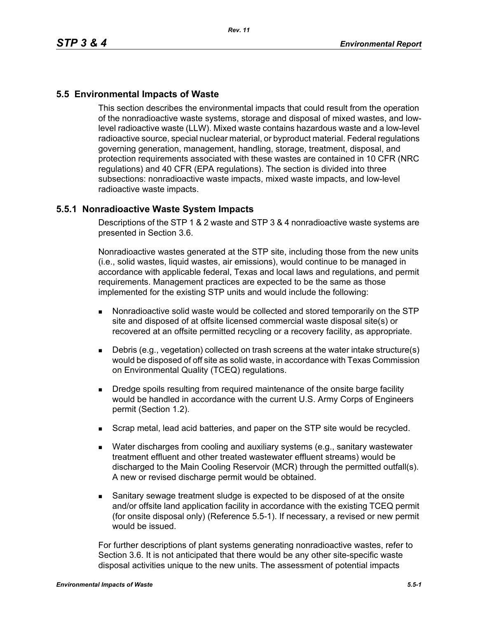# **5.5 Environmental Impacts of Waste**

This section describes the environmental impacts that could result from the operation of the nonradioactive waste systems, storage and disposal of mixed wastes, and lowlevel radioactive waste (LLW). Mixed waste contains hazardous waste and a low-level radioactive source, special nuclear material, or byproduct material. Federal regulations governing generation, management, handling, storage, treatment, disposal, and protection requirements associated with these wastes are contained in 10 CFR (NRC regulations) and 40 CFR (EPA regulations). The section is divided into three subsections: nonradioactive waste impacts, mixed waste impacts, and low-level radioactive waste impacts.

## **5.5.1 Nonradioactive Waste System Impacts**

Descriptions of the STP 1 & 2 waste and STP 3 & 4 nonradioactive waste systems are presented in Section 3.6.

Nonradioactive wastes generated at the STP site, including those from the new units (i.e., solid wastes, liquid wastes, air emissions), would continue to be managed in accordance with applicable federal, Texas and local laws and regulations, and permit requirements. Management practices are expected to be the same as those implemented for the existing STP units and would include the following:

- Nonradioactive solid waste would be collected and stored temporarily on the STP site and disposed of at offsite licensed commercial waste disposal site(s) or recovered at an offsite permitted recycling or a recovery facility, as appropriate.
- Debris (e.g., vegetation) collected on trash screens at the water intake structure(s) would be disposed of off site as solid waste, in accordance with Texas Commission on Environmental Quality (TCEQ) regulations.
- **Dredge spoils resulting from required maintenance of the onsite barge facility** would be handled in accordance with the current U.S. Army Corps of Engineers permit (Section 1.2).
- **Scrap metal, lead acid batteries, and paper on the STP site would be recycled.**
- Water discharges from cooling and auxiliary systems (e.g., sanitary wastewater treatment effluent and other treated wastewater effluent streams) would be discharged to the Main Cooling Reservoir (MCR) through the permitted outfall(s). A new or revised discharge permit would be obtained.
- Sanitary sewage treatment sludge is expected to be disposed of at the onsite and/or offsite land application facility in accordance with the existing TCEQ permit (for onsite disposal only) (Reference 5.5-1). If necessary, a revised or new permit would be issued.

For further descriptions of plant systems generating nonradioactive wastes, refer to Section 3.6. It is not anticipated that there would be any other site-specific waste disposal activities unique to the new units. The assessment of potential impacts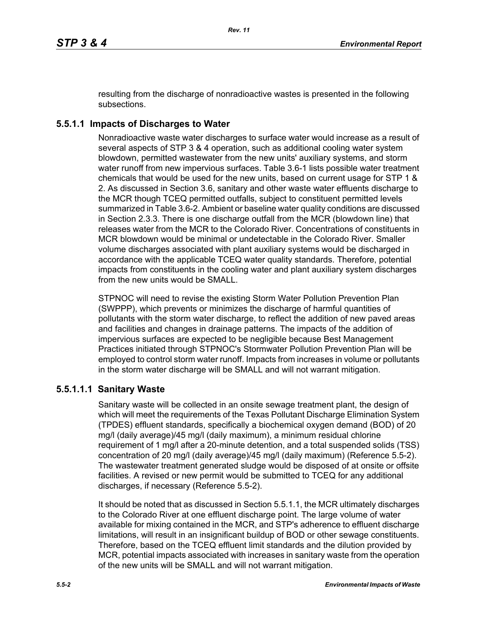resulting from the discharge of nonradioactive wastes is presented in the following subsections.

# **5.5.1.1 Impacts of Discharges to Water**

Nonradioactive waste water discharges to surface water would increase as a result of several aspects of STP 3 & 4 operation, such as additional cooling water system blowdown, permitted wastewater from the new units' auxiliary systems, and storm water runoff from new impervious surfaces. Table 3.6-1 lists possible water treatment chemicals that would be used for the new units, based on current usage for STP 1 & 2. As discussed in Section 3.6, sanitary and other waste water effluents discharge to the MCR though TCEQ permitted outfalls, subject to constituent permitted levels summarized in Table 3.6-2. Ambient or baseline water quality conditions are discussed in Section 2.3.3. There is one discharge outfall from the MCR (blowdown line) that releases water from the MCR to the Colorado River. Concentrations of constituents in MCR blowdown would be minimal or undetectable in the Colorado River. Smaller volume discharges associated with plant auxiliary systems would be discharged in accordance with the applicable TCEQ water quality standards. Therefore, potential impacts from constituents in the cooling water and plant auxiliary system discharges from the new units would be SMALL.

STPNOC will need to revise the existing Storm Water Pollution Prevention Plan (SWPPP), which prevents or minimizes the discharge of harmful quantities of pollutants with the storm water discharge, to reflect the addition of new paved areas and facilities and changes in drainage patterns. The impacts of the addition of impervious surfaces are expected to be negligible because Best Management Practices initiated through STPNOC's Stormwater Pollution Prevention Plan will be employed to control storm water runoff. Impacts from increases in volume or pollutants in the storm water discharge will be SMALL and will not warrant mitigation.

## **5.5.1.1.1 Sanitary Waste**

Sanitary waste will be collected in an onsite sewage treatment plant, the design of which will meet the requirements of the Texas Pollutant Discharge Elimination System (TPDES) effluent standards, specifically a biochemical oxygen demand (BOD) of 20 mg/l (daily average)/45 mg/l (daily maximum), a minimum residual chlorine requirement of 1 mg/l after a 20-minute detention, and a total suspended solids (TSS) concentration of 20 mg/l (daily average)/45 mg/l (daily maximum) (Reference 5.5-2). The wastewater treatment generated sludge would be disposed of at onsite or offsite facilities. A revised or new permit would be submitted to TCEQ for any additional discharges, if necessary (Reference 5.5-2).

It should be noted that as discussed in Section 5.5.1.1, the MCR ultimately discharges to the Colorado River at one effluent discharge point. The large volume of water available for mixing contained in the MCR, and STP's adherence to effluent discharge limitations, will result in an insignificant buildup of BOD or other sewage constituents. Therefore, based on the TCEQ effluent limit standards and the dilution provided by MCR, potential impacts associated with increases in sanitary waste from the operation of the new units will be SMALL and will not warrant mitigation.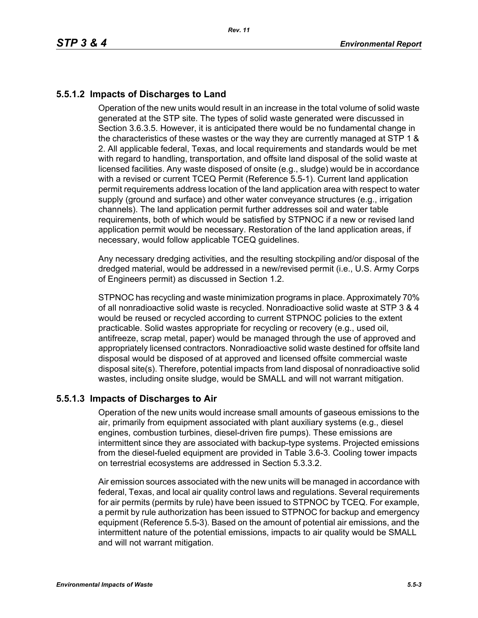# **5.5.1.2 Impacts of Discharges to Land**

Operation of the new units would result in an increase in the total volume of solid waste generated at the STP site. The types of solid waste generated were discussed in Section 3.6.3.5. However, it is anticipated there would be no fundamental change in the characteristics of these wastes or the way they are currently managed at STP 1 & 2. All applicable federal, Texas, and local requirements and standards would be met with regard to handling, transportation, and offsite land disposal of the solid waste at licensed facilities. Any waste disposed of onsite (e.g., sludge) would be in accordance with a revised or current TCEQ Permit (Reference 5.5-1). Current land application permit requirements address location of the land application area with respect to water supply (ground and surface) and other water conveyance structures (e.g., irrigation channels). The land application permit further addresses soil and water table requirements, both of which would be satisfied by STPNOC if a new or revised land application permit would be necessary. Restoration of the land application areas, if necessary, would follow applicable TCEQ guidelines.

Any necessary dredging activities, and the resulting stockpiling and/or disposal of the dredged material, would be addressed in a new/revised permit (i.e., U.S. Army Corps of Engineers permit) as discussed in Section 1.2.

STPNOC has recycling and waste minimization programs in place. Approximately 70% of all nonradioactive solid waste is recycled. Nonradioactive solid waste at STP 3 & 4 would be reused or recycled according to current STPNOC policies to the extent practicable. Solid wastes appropriate for recycling or recovery (e.g., used oil, antifreeze, scrap metal, paper) would be managed through the use of approved and appropriately licensed contractors. Nonradioactive solid waste destined for offsite land disposal would be disposed of at approved and licensed offsite commercial waste disposal site(s). Therefore, potential impacts from land disposal of nonradioactive solid wastes, including onsite sludge, would be SMALL and will not warrant mitigation.

## **5.5.1.3 Impacts of Discharges to Air**

Operation of the new units would increase small amounts of gaseous emissions to the air, primarily from equipment associated with plant auxiliary systems (e.g., diesel engines, combustion turbines, diesel-driven fire pumps). These emissions are intermittent since they are associated with backup-type systems. Projected emissions from the diesel-fueled equipment are provided in Table 3.6-3. Cooling tower impacts on terrestrial ecosystems are addressed in Section 5.3.3.2.

Air emission sources associated with the new units will be managed in accordance with federal, Texas, and local air quality control laws and regulations. Several requirements for air permits (permits by rule) have been issued to STPNOC by TCEQ. For example, a permit by rule authorization has been issued to STPNOC for backup and emergency equipment (Reference 5.5-3). Based on the amount of potential air emissions, and the intermittent nature of the potential emissions, impacts to air quality would be SMALL and will not warrant mitigation.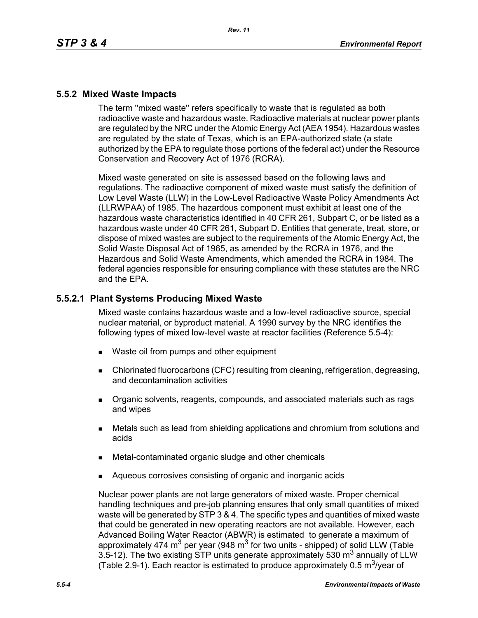## **5.5.2 Mixed Waste Impacts**

The term ''mixed waste'' refers specifically to waste that is regulated as both radioactive waste and hazardous waste. Radioactive materials at nuclear power plants are regulated by the NRC under the Atomic Energy Act (AEA 1954). Hazardous wastes are regulated by the state of Texas, which is an EPA-authorized state (a state authorized by the EPA to regulate those portions of the federal act) under the Resource Conservation and Recovery Act of 1976 (RCRA).

Mixed waste generated on site is assessed based on the following laws and regulations. The radioactive component of mixed waste must satisfy the definition of Low Level Waste (LLW) in the Low-Level Radioactive Waste Policy Amendments Act (LLRWPAA) of 1985. The hazardous component must exhibit at least one of the hazardous waste characteristics identified in 40 CFR 261, Subpart C, or be listed as a hazardous waste under 40 CFR 261, Subpart D. Entities that generate, treat, store, or dispose of mixed wastes are subject to the requirements of the Atomic Energy Act, the Solid Waste Disposal Act of 1965, as amended by the RCRA in 1976, and the Hazardous and Solid Waste Amendments, which amended the RCRA in 1984. The federal agencies responsible for ensuring compliance with these statutes are the NRC and the EPA.

## **5.5.2.1 Plant Systems Producing Mixed Waste**

Mixed waste contains hazardous waste and a low-level radioactive source, special nuclear material, or byproduct material. A 1990 survey by the NRC identifies the following types of mixed low-level waste at reactor facilities (Reference 5.5-4):

- Waste oil from pumps and other equipment
- Chlorinated fluorocarbons (CFC) resulting from cleaning, refrigeration, degreasing, and decontamination activities
- **Dreamic solvents, reagents, compounds, and associated materials such as rags** and wipes
- Metals such as lead from shielding applications and chromium from solutions and acids
- Metal-contaminated organic sludge and other chemicals
- Aqueous corrosives consisting of organic and inorganic acids

Nuclear power plants are not large generators of mixed waste. Proper chemical handling techniques and pre-job planning ensures that only small quantities of mixed waste will be generated by STP 3 & 4. The specific types and quantities of mixed waste that could be generated in new operating reactors are not available. However, each Advanced Boiling Water Reactor (ABWR) is estimated to generate a maximum of approximately 474 m<sup>3</sup> per year (948 m<sup>3</sup> for two units - shipped) of solid LLW (Table 3.5-12). The two existing STP units generate approximately 530  $m<sup>3</sup>$  annually of LLW (Table 2.9-1). Each reactor is estimated to produce approximately 0.5  $\mathrm{m}^3$ /year of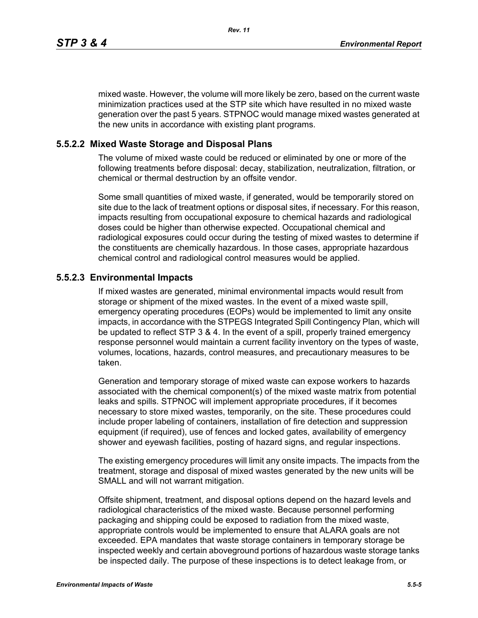mixed waste. However, the volume will more likely be zero, based on the current waste minimization practices used at the STP site which have resulted in no mixed waste generation over the past 5 years. STPNOC would manage mixed wastes generated at the new units in accordance with existing plant programs.

## **5.5.2.2 Mixed Waste Storage and Disposal Plans**

The volume of mixed waste could be reduced or eliminated by one or more of the following treatments before disposal: decay, stabilization, neutralization, filtration, or chemical or thermal destruction by an offsite vendor.

Some small quantities of mixed waste, if generated, would be temporarily stored on site due to the lack of treatment options or disposal sites, if necessary. For this reason, impacts resulting from occupational exposure to chemical hazards and radiological doses could be higher than otherwise expected. Occupational chemical and radiological exposures could occur during the testing of mixed wastes to determine if the constituents are chemically hazardous. In those cases, appropriate hazardous chemical control and radiological control measures would be applied.

#### **5.5.2.3 Environmental Impacts**

If mixed wastes are generated, minimal environmental impacts would result from storage or shipment of the mixed wastes. In the event of a mixed waste spill, emergency operating procedures (EOPs) would be implemented to limit any onsite impacts, in accordance with the STPEGS Integrated Spill Contingency Plan, which will be updated to reflect STP 3 & 4. In the event of a spill, properly trained emergency response personnel would maintain a current facility inventory on the types of waste, volumes, locations, hazards, control measures, and precautionary measures to be taken.

Generation and temporary storage of mixed waste can expose workers to hazards associated with the chemical component(s) of the mixed waste matrix from potential leaks and spills. STPNOC will implement appropriate procedures, if it becomes necessary to store mixed wastes, temporarily, on the site. These procedures could include proper labeling of containers, installation of fire detection and suppression equipment (if required), use of fences and locked gates, availability of emergency shower and eyewash facilities, posting of hazard signs, and regular inspections.

The existing emergency procedures will limit any onsite impacts. The impacts from the treatment, storage and disposal of mixed wastes generated by the new units will be SMALL and will not warrant mitigation.

Offsite shipment, treatment, and disposal options depend on the hazard levels and radiological characteristics of the mixed waste. Because personnel performing packaging and shipping could be exposed to radiation from the mixed waste, appropriate controls would be implemented to ensure that ALARA goals are not exceeded. EPA mandates that waste storage containers in temporary storage be inspected weekly and certain aboveground portions of hazardous waste storage tanks be inspected daily. The purpose of these inspections is to detect leakage from, or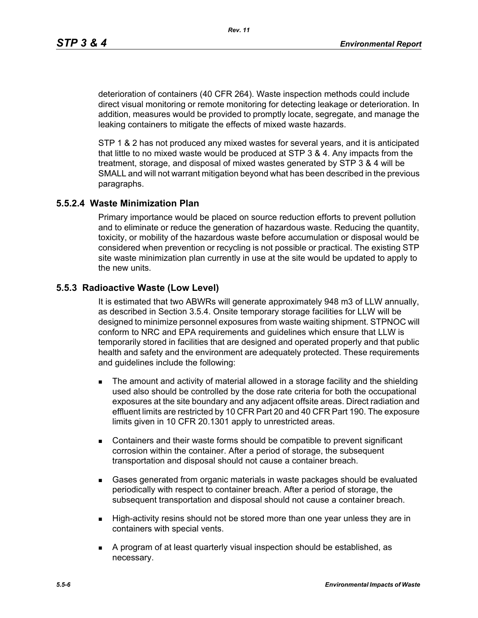deterioration of containers (40 CFR 264). Waste inspection methods could include direct visual monitoring or remote monitoring for detecting leakage or deterioration. In addition, measures would be provided to promptly locate, segregate, and manage the leaking containers to mitigate the effects of mixed waste hazards.

STP 1 & 2 has not produced any mixed wastes for several years, and it is anticipated that little to no mixed waste would be produced at STP 3 & 4. Any impacts from the treatment, storage, and disposal of mixed wastes generated by STP 3 & 4 will be SMALL and will not warrant mitigation beyond what has been described in the previous paragraphs.

## **5.5.2.4 Waste Minimization Plan**

Primary importance would be placed on source reduction efforts to prevent pollution and to eliminate or reduce the generation of hazardous waste. Reducing the quantity, toxicity, or mobility of the hazardous waste before accumulation or disposal would be considered when prevention or recycling is not possible or practical. The existing STP site waste minimization plan currently in use at the site would be updated to apply to the new units.

## **5.5.3 Radioactive Waste (Low Level)**

It is estimated that two ABWRs will generate approximately 948 m3 of LLW annually, as described in Section 3.5.4. Onsite temporary storage facilities for LLW will be designed to minimize personnel exposures from waste waiting shipment. STPNOC will conform to NRC and EPA requirements and guidelines which ensure that LLW is temporarily stored in facilities that are designed and operated properly and that public health and safety and the environment are adequately protected. These requirements and guidelines include the following:

- **The amount and activity of material allowed in a storage facility and the shielding** used also should be controlled by the dose rate criteria for both the occupational exposures at the site boundary and any adjacent offsite areas. Direct radiation and effluent limits are restricted by 10 CFR Part 20 and 40 CFR Part 190. The exposure limits given in 10 CFR 20.1301 apply to unrestricted areas.
- Containers and their waste forms should be compatible to prevent significant corrosion within the container. After a period of storage, the subsequent transportation and disposal should not cause a container breach.
- Gases generated from organic materials in waste packages should be evaluated periodically with respect to container breach. After a period of storage, the subsequent transportation and disposal should not cause a container breach.
- **High-activity resins should not be stored more than one year unless they are in** containers with special vents.
- A program of at least quarterly visual inspection should be established, as necessary.